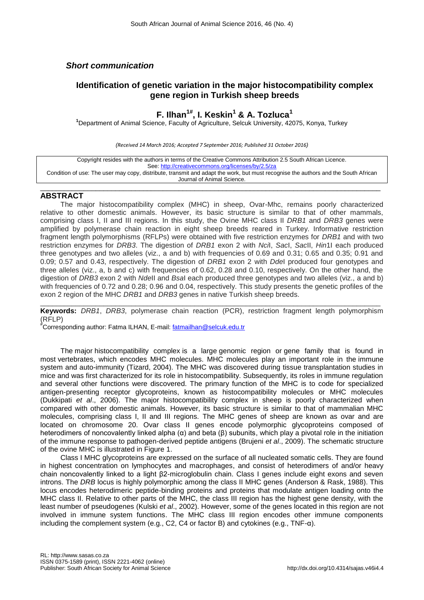## *Short communication*

# **Identification of genetic variation in the major histocompatibility complex gene region in Turkish sheep breeds**

# **F. Ilhan1# , I. Keskin<sup>1</sup> & A. Tozluca<sup>1</sup>**

**<sup>1</sup>**Department of Animal Science, Faculty of Agriculture, Selcuk University, 42075, Konya, Turkey

*(Received 14 March 2016; Accepted 7 September 2016; Published 31 October 2016)*

| Copyright resides with the authors in terms of the Creative Commons Attribution 2.5 South African Licence.                         |
|------------------------------------------------------------------------------------------------------------------------------------|
| See: http://creativecommons.org/licenses/by/2.5/za                                                                                 |
| Condition of use: The user may copy, distribute, transmit and adapt the work, but must recognise the authors and the South African |
| Journal of Animal Science.                                                                                                         |

\_\_\_\_\_\_\_\_\_\_\_\_\_\_\_\_\_\_\_\_\_\_\_\_\_\_\_\_\_\_\_\_\_\_\_\_\_\_\_\_\_\_\_\_\_\_\_\_\_\_\_\_\_\_\_\_\_\_\_\_\_\_\_\_\_\_\_\_\_\_\_\_\_\_\_\_\_\_\_\_\_\_\_\_\_\_

### **ABSTRACT**

The major histocompatibility complex (MHC) in sheep, Ovar-Mhc, remains poorly characterized relative to other domestic animals. However, its basic structure is similar to that of other mammals, comprising class I, II and III regions. In this study, the Ovine MHC class II *DRB1* and *DRB3* genes were amplified by polymerase chain reaction in eight sheep breeds reared in Turkey. Informative restriction fragment length polymorphisms (RFLPs) were obtained with five restriction enzymes for *DRB1* and with two restriction enzymes for *DRB3*. The digestion of *DRB1* exon 2 with *Nci*I, *Sac*I, *Sac*II, *Hin*1I each produced three genotypes and two alleles (viz., a and b) with frequencies of 0.69 and 0.31; 0.65 and 0.35; 0.91 and 0.09; 0.57 and 0.43, respectively. The digestion of *DRB1* exon 2 with *Dde*I produced four genotypes and three alleles (viz., a, b and c) with frequencies of 0.62, 0.28 and 0.10, respectively. On the other hand, the digestion of *DRB3* exon 2 with *Nde*II and *Bsa*I each produced three genotypes and two alleles (viz., a and b) with frequencies of 0.72 and 0.28; 0.96 and 0.04, respectively. This study presents the genetic profiles of the exon 2 region of the MHC *DRB1* and *DRB3* genes in native Turkish sheep breeds.

\_\_\_\_\_\_\_\_\_\_\_\_\_\_\_\_\_\_\_\_\_\_\_\_\_\_\_\_\_\_\_\_\_\_\_\_\_\_\_\_\_\_\_\_\_\_\_\_\_\_\_\_\_\_\_\_\_\_\_\_\_\_\_\_\_\_\_\_\_\_\_\_\_\_\_\_\_\_\_\_\_\_\_\_\_\_ **Keywords:** *DRB1*, *DRB3*, polymerase chain reaction (PCR), restriction fragment length polymorphism (RFLP)

#Corresponding author: Fatma ILHAN, E-mail: [fatmailhan@selcuk.edu.tr](mailto:fatmailhan@selcuk.edu.tr)

The major histocompatibility complex is a large genomic region or gene family that is found in most vertebrates, which encodes MHC molecules. MHC molecules play an important role in the immune system and auto-immunity (Tizard, 2004). The MHC was discovered during tissue transplantation studies in mice and was first characterized for its role in histocompatibility. Subsequently, its roles in immune regulation and several other functions were discovered. The primary function of the MHC is to code for specialized antigen-presenting receptor glycoproteins, known as histocompatibility molecules or MHC molecules (Dukkipati *et al*., 2006). The major histocompatibility complex in sheep is poorly characterized when compared with other domestic animals. However, its basic structure is similar to that of mammalian MHC molecules, comprising class I, II and III regions. The MHC genes of sheep are known as ovar and are located on chromosome 20. Ovar class II genes encode polymorphic glycoproteins composed of heterodimers of noncovalently linked alpha (α) and beta (β) subunits, which play a pivotal role in the initiation of the immune response to pathogen-derived peptide antigens (Brujeni *et al*., 2009). The schematic structure of the ovine MHC is illustrated in Figure 1.

Class I MHC glycoproteins are expressed on the surface of all nucleated somatic cells. They are found in highest concentration on lymphocytes and macrophages, and consist of heterodimers of and/or heavy chain noncovalently linked to a light β2-microglobulin chain. Class I genes include eight exons and seven introns. The *DRB* locus is highly polymorphic among the class II MHC genes (Anderson & Rask, 1988). This locus encodes heterodimeric peptide-binding proteins and proteins that modulate antigen loading onto the MHC class II. Relative to other parts of the MHC, the class III region has the highest gene density, with the least number of pseudogenes (Kulski *et al*., 2002). However, some of the genes located in this region are not involved in immune system functions. The MHC class III region encodes other immune components including the complement system (e.g., C2, C4 or factor B) and cytokines (e.g., TNF-α).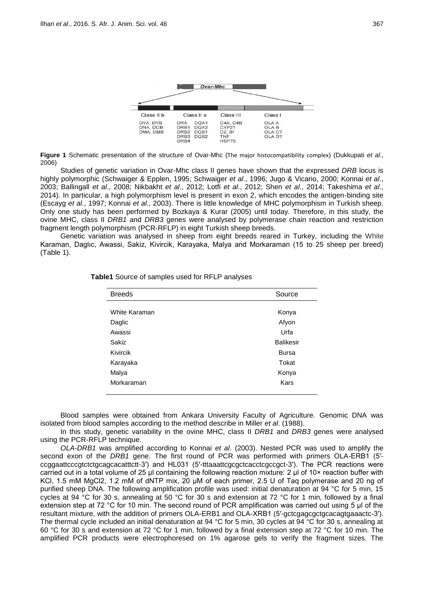

**Figure 1** Schematic presentation of the structure of Ovar-Mhc (The major histocompatibility complex) (Dukkupati *et al*., 2006)

Studies of genetic variation in Ovar-Mhc class II genes have shown that the expressed *DRB* locus is highly polymorphic (Schwaiger & Epplen, 1995; Schwaiger *et al*., 1996; Jugo & Vicario, 2000; Konnai *et al*., 2003; Ballingall *et al*., 2008; Nikbakht *et al*., 2012; Lotfi *et al*., 2012; Shen *et al*., 2014; Takeshima *et al*., 2014). In particular, a high polymorphism level is present in exon 2, which encodes the antigen-binding site (Escayg *et al*., 1997; Konnai *et al*., 2003). There is little knowledge of MHC polymorphism in Turkish sheep. Only one study has been performed by Bozkaya & Kurar (2005) until today. Therefore, in this study, the ovine MHC, class II *DRB1* and *DRB3* genes were analysed by polymerase chain reaction and restriction fragment length polymorphism (PCR-RFLP) in eight Turkish sheep breeds.

Genetic variation was analysed in sheep from eight breeds reared in Turkey, including the White Karaman, Daglıc, Awassi, Sakiz, Kivircik, Karayaka, Malya and Morkaraman (15 to 25 sheep per breed) (Table 1).

| <b>Breeds</b> | Source           |
|---------------|------------------|
|               |                  |
| White Karaman | Konya            |
| Daglic        | Afyon            |
| Awassi        | Urfa             |
| Sakiz         | <b>Balikesir</b> |
| Kivircik      | <b>Bursa</b>     |
| Karayaka      | Tokat            |
| Malya         | Konya            |
| Morkaraman    | Kars             |
|               |                  |

**Table1** Source of samples used for RFLP analyses

Blood samples were obtained from Ankara University Faculty of Agriculture. Genomic DNA was isolated from blood samples according to the method describe in Miller *et al*. (1988).

In this study, genetic variability in the ovine MHC, class II *DRB1* and *DRB3* genes were analysed using the PCR-RFLP technique.

*OLA-DRB1* was amplified according to Konnai *et al*. (2003). Nested PCR was used to amplify the second exon of the *DRB1* gene. The first round of PCR was performed with primers OLA-ERB1 (5′ ccggaattcccgtctctgcagcacatttctt-3′) and HL031 (5′-tttaaattcgcgctcacctcgccgct-3′). The PCR reactions were carried out in a total volume of 25 μl containing the following reaction mixture: 2 μl of 10× reaction buffer with KCl, 1.5 mM MgCl2, 1.2 mM of dNTP mix, 20 μM of each primer, 2.5 U of Taq polymerase and 20 ng of purified sheep DNA. The following amplification profile was used: initial denaturation at 94 °C for 5 min, 15 cycles at 94 °C for 30 s, annealing at 50 °C for 30 s and extension at 72 °C for 1 min, followed by a final extension step at 72 °C for 10 min. The second round of PCR amplification was carried out using 5 μl of the resultant mixture, with the addition of primers OLA-ERB1 and OLA-XRB1 (5'-gctcgagcgctgcacagtgaaactc-3'). The thermal cycle included an initial denaturation at 94 °C for 5 min, 30 cycles at 94 °C for 30 s, annealing at 60 °C for 30 s and extension at 72 °C for 1 min, followed by a final extension step at 72 °C for 10 min. The amplified PCR products were electrophoresed on 1% agarose gels to verify the fragment sizes. The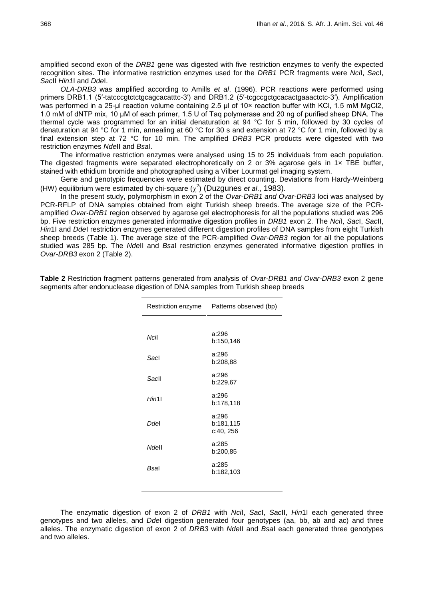amplified second exon of the *DRB1* gene was digested with five restriction enzymes to verify the expected recognition sites. The informative restriction enzymes used for the *DRB1* PCR fragments were *Nci*I, *Sac*I, *Sac*II *Hin1*I and *Dde*I.

*OLA-DRB3* was amplified according to Amills *et al*. (1996). PCR reactions were performed using primers DRB1.1 (5′-tatcccgtctctgcagcacatttc-3′) and DRB1.2 (5′-tcgccgctgcacactgaaactctc-3′). Amplification was performed in a 25-μl reaction volume containing 2.5 μl of 10× reaction buffer with KCl, 1.5 mM MgCl2, 1.0 mM of dNTP mix, 10 μM of each primer, 1.5 U of Taq polymerase and 20 ng of purified sheep DNA. The thermal cycle was programmed for an initial denaturation at 94 °C for 5 min, followed by 30 cycles of denaturation at 94 °C for 1 min, annealing at 60 °C for 30 s and extension at 72 °C for 1 min, followed by a final extension step at 72 °C for 10 min. The amplified *DRB3* PCR products were digested with two restriction enzymes *Nde*II and *Bsa*I.

The informative restriction enzymes were analysed using 15 to 25 individuals from each population. The digested fragments were separated electrophoretically on 2 or 3% agarose gels in 1x TBE buffer, stained with ethidium bromide and photographed using a Vilber Lourmat gel imaging system.

Gene and genotypic frequencies were estimated by direct counting. Deviations from Hardy-Weinberg (HW) equilibrium were estimated by chi-square  $(\chi^2)$  (Duzgunes *et al.*, 1983).

In the present study, polymorphism in exon 2 of the *Ovar*-*DRB1 and Ovar-DRB3* loci was analysed by PCR-RFLP of DNA samples obtained from eight Turkish sheep breeds. The average size of the PCRamplified *Ovar-DRB1* region observed by agarose gel electrophoresis for all the populations studied was 296 bp. Five restriction enzymes generated informative digestion profiles in *DRB1* exon 2. The *Nci*I, *Sac*I, *Sac*II, *Hin*1I and *Dde*I restriction enzymes generated different digestion profiles of DNA samples from eight Turkish sheep breeds (Table 1). The average size of the PCR-amplified *Ovar-DRB3* region for all the populations studied was 285 bp. The *Nde*II and *Bsa*I restriction enzymes generated informative digestion profiles in *Ovar-DRB3* exon 2 (Table 2).

| Restriction enzyme | Patterns observed (bp)          |
|--------------------|---------------------------------|
|                    |                                 |
| Ncil               | a:296<br>b:150,146              |
| Sacl               | a:296<br>b:208,88               |
| Sacll              | a:296<br>b:229,67               |
| Hin11              | a:296<br>b:178,118              |
| Ddel               | a:296<br>b:181,115<br>c:40, 256 |
| Ndell              | a:285<br>b:200,85               |
| Bsal               | a:285<br>b:182,103              |
|                    |                                 |

**Table 2** Restriction fragment patterns generated from analysis of *Ovar-DRB1 and Ovar-DRB3* exon 2 gene segments after endonuclease digestion of DNA samples from Turkish sheep breeds

The enzymatic digestion of exon 2 of *DRB1* with *Nci*I, *Sac*I, *Sac*II, *Hin*1I each generated three genotypes and two alleles, and *Dde*I digestion generated four genotypes (aa, bb, ab and ac) and three alleles. The enzymatic digestion of exon 2 of *DRB3* with *Nde*II and *Bsa*I each generated three genotypes and two alleles.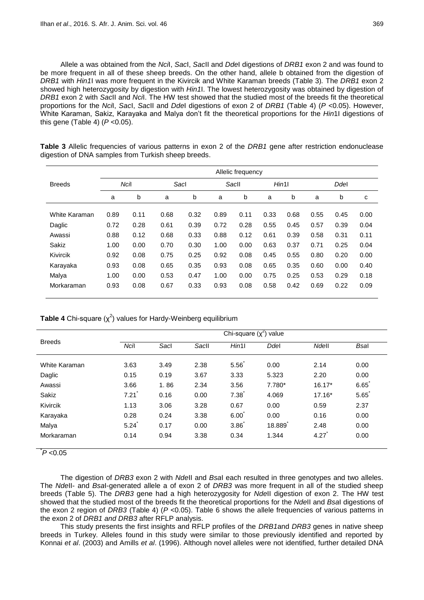Allele a was obtained from the *Nci*I, *Sac*I, *Sac*II and *Dde*I digestions of *DRB1* exon 2 and was found to be more frequent in all of these sheep breeds. On the other hand, allele b obtained from the digestion of *DRB1* with *Hin1*I was more frequent in the Kivircik and White Karaman breeds (Table 3)*.* The *DRB1* exon 2 showed high heterozygosity by digestion with *Hin1*I. The lowest heterozygosity was obtained by digestion of *DRB1* exon 2 with *Sac*II and *Nci*I. The HW test showed that the studied most of the breeds fit the theoretical proportions for the *Nci*I, *Sac*I, *Sac*II and *Dde*I digestions of exon 2 of *DRB1* (Table 4) (*P* <0.05). However, White Karaman, Sakiz, Karayaka and Malya don't fit the theoretical proportions for the *Hin*1I digestions of this gene (Table 4) (*P* <0.05).

|               | Allelic frequency |      |      |      |      |       |      |        |      |      |      |
|---------------|-------------------|------|------|------|------|-------|------|--------|------|------|------|
| <b>Breeds</b> |                   | Ncil | Sacl |      |      | Sacll |      | Hint11 |      | Ddel |      |
|               | a                 | b    | a    | b    | a    | b     | a    | b      | a    | b    | C    |
| White Karaman | 0.89              | 0.11 | 0.68 | 0.32 | 0.89 | 0.11  | 0.33 | 0.68   | 0.55 | 0.45 | 0.00 |
| Daglic        | 0.72              | 0.28 | 0.61 | 0.39 | 0.72 | 0.28  | 0.55 | 0.45   | 0.57 | 0.39 | 0.04 |
| Awassi        | 0.88              | 0.12 | 0.68 | 0.33 | 0.88 | 0.12  | 0.61 | 0.39   | 0.58 | 0.31 | 0.11 |
| Sakiz         | 1.00              | 0.00 | 0.70 | 0.30 | 1.00 | 0.00  | 0.63 | 0.37   | 0.71 | 0.25 | 0.04 |
| Kivircik      | 0.92              | 0.08 | 0.75 | 0.25 | 0.92 | 0.08  | 0.45 | 0.55   | 0.80 | 0.20 | 0.00 |
| Karayaka      | 0.93              | 0.08 | 0.65 | 0.35 | 0.93 | 0.08  | 0.65 | 0.35   | 0.60 | 0.00 | 0.40 |
| Malya         | 1.00              | 0.00 | 0.53 | 0.47 | 1.00 | 0.00  | 0.75 | 0.25   | 0.53 | 0.29 | 0.18 |
| Morkaraman    | 0.93              | 0.08 | 0.67 | 0.33 | 0.93 | 0.08  | 0.58 | 0.42   | 0.69 | 0.22 | 0.09 |

**Table 3** Allelic frequencies of various patterns in exon 2 of the *DRB1* gene after restriction endonuclease digestion of DNA samples from Turkish sheep breeds.

**Table 4** Chi-square (χ<sup>2</sup>) values for Hardy-Weinberg equilibrium

|               | Chi-square $(x^2)$ value |      |       |       |        |              |             |  |
|---------------|--------------------------|------|-------|-------|--------|--------------|-------------|--|
| <b>Breeds</b> | Ncil                     | Sacl | Sacll | Hint1 | Ddel   | <b>Ndell</b> | <b>Bsal</b> |  |
| White Karaman | 3.63                     | 3.49 | 2.38  | 5.56  | 0.00   | 2.14         | 0.00        |  |
| Daglic        | 0.15                     | 0.19 | 3.67  | 3.33  | 5.323  | 2.20         | 0.00        |  |
| Awassi        | 3.66                     | 1.86 | 2.34  | 3.56  | 7.780* | $16.17*$     | 6.65        |  |
| Sakiz         | 7.21                     | 0.16 | 0.00  | 7.38  | 4.069  | $17.16*$     | 5.65        |  |
| Kivircik      | 1.13                     | 3.06 | 3.28  | 0.67  | 0.00   | 0.59         | 2.37        |  |
| Karayaka      | 0.28                     | 0.24 | 3.38  | 6.00  | 0.00   | 0.16         | 0.00        |  |
| Malya         | 5.24                     | 0.17 | 0.00  | 3.86  | 18.889 | 2.48         | 0.00        |  |
| Morkaraman    | 0.14                     | 0.94 | 3.38  | 0.34  | 1.344  | 4.27         | 0.00        |  |

\* *P* <0.05

The digestion of *DRB3* exon 2 with *Nde*II and *Bsa*I each resulted in three genotypes and two alleles. The *Nde*II- and *Bsa*I-generated allele a of exon 2 of *DRB3* was more frequent in all of the studied sheep breeds (Table 5). The *DRB3* gene had a high heterozygosity for *Nde*II digestion of exon 2. The HW test showed that the studied most of the breeds fit the theoretical proportions for the *Nde*II and *Bsa*I digestions of the exon 2 region of *DRB3* (Table 4) (*P* <0.05). Table 6 shows the allele frequencies of various patterns in the exon 2 of *DRB1 and DRB3* after RFLP analysis.

This study presents the first insights and RFLP profiles of the *DRB1*and *DRB3* genes in native sheep breeds in Turkey. Alleles found in this study were similar to those previously identified and reported by Konnai *et al*. (2003) and Amills *et al*. (1996). Although novel alleles were not identified, further detailed DNA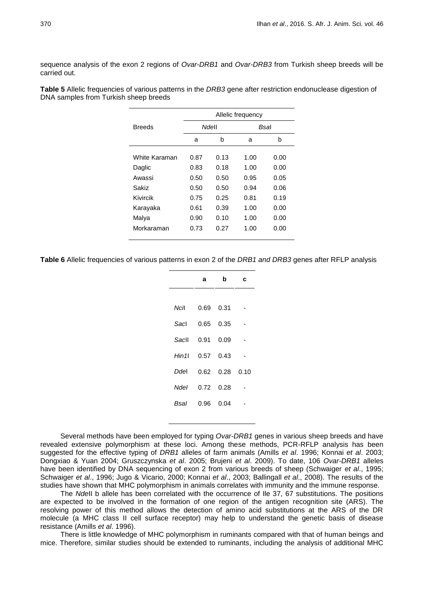sequence analysis of the exon 2 regions of *Ovar-DRB1* and *Ovar-DRB3* from Turkish sheep breeds will be carried out.

|               | Allelic frequency |      |      |      |  |  |
|---------------|-------------------|------|------|------|--|--|
| <b>Breeds</b> | <b>Ndell</b>      |      |      | Bsal |  |  |
|               | a                 | b    | a    | b    |  |  |
| White Karaman | 0.87              | 0.13 | 1.00 | 0.00 |  |  |
| Daglic        | 0.83              | 0.18 | 1.00 | 0.00 |  |  |
| Awassi        | 0.50              | 0.50 | 0.95 | 0.05 |  |  |
| Sakiz         | 0.50              | 0.50 | 0.94 | 0.06 |  |  |
| Kivircik      | 0.75              | 0.25 | 0.81 | 0.19 |  |  |
| Karayaka      | 0.61              | 0.39 | 1.00 | 0.00 |  |  |
| Malya         | 0.90              | 0.10 | 1.00 | 0.00 |  |  |
| Morkaraman    | 0.73              | 0.27 | 1.00 | 0.00 |  |  |

**Table 5** Allelic frequencies of various patterns in the *DRB3* gene after restriction endonuclease digestion of DNA samples from Turkish sheep breeds

**Table 6** Allelic frequencies of various patterns in exon 2 of the *DRB1 and DRB3* genes after RFLP analysis

|        | а    | b    | c    |
|--------|------|------|------|
|        |      |      |      |
| Ncil   | 0.69 | 0.31 |      |
| Sacl   | 0.65 | 0.35 |      |
| Sacll  | 0.91 | 0.09 |      |
| Hin 11 | 0.57 | 0.43 |      |
| Ddel   | 0.62 | 0.28 | 0.10 |
| Ndel   | 0.72 | 0.28 |      |
| Bsal   | 0.96 | 0.04 |      |

Several methods have been employed for typing *Ovar-DRB1* genes in various sheep breeds and have revealed extensive polymorphism at these loci. Among these methods, PCR-RFLP analysis has been suggested for the effective typing of *DRB1* alleles of farm animals (Amills *et al*. 1996; Konnai *et al*. 2003; Dongxiao & Yuan 2004; Gruszczynska *et al*. 2005; Brujeni *et al*. 2009). To date, 106 *Ovar-DRB1* alleles have been identified by DNA sequencing of exon 2 from various breeds of sheep (Schwaiger *et al*., 1995; Schwaiger *et al*., 1996; Jugo & Vicario, 2000; Konnai *et al*., 2003; Ballingall *et al*., 2008). The results of the studies have shown that MHC polymorphism in animals correlates with immunity and the immune response.

The *Nde*II b allele has been correlated with the occurrence of Ile 37, 67 substitutions. The positions are expected to be involved in the formation of one region of the antigen recognition site (ARS). The resolving power of this method allows the detection of amino acid substitutions at the ARS of the DR molecule (a MHC class II cell surface receptor) may help to understand the genetic basis of disease resistance (Amills *et al*. 1996).

There is little knowledge of MHC polymorphism in ruminants compared with that of human beings and mice. Therefore, similar studies should be extended to ruminants, including the analysis of additional MHC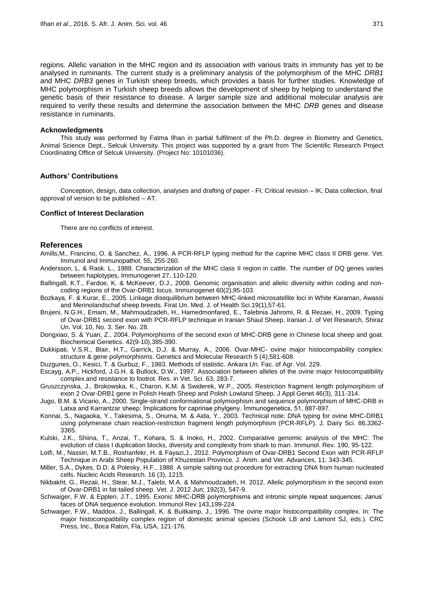regions. Allelic variation in the MHC region and its association with various traits in immunity has yet to be analysed in ruminants. The current study is a preliminary analysis of the polymorphism of the MHC *DRB1* and MHC *DRB3* genes in Turkish sheep breeds, which provides a basis for further studies. Knowledge of MHC polymorphism in Turkish sheep breeds allows the development of sheep by helping to understand the genetic basis of their resistance to disease. A larger sample size and additional molecular analysis are required to verify these results and determine the association between the MHC *DRB* genes and disease resistance in ruminants.

#### **Acknowledgments**

This study was performed by Fatma Ilhan in partial fulfilment of the Ph.D. degree in Biometry and Genetics, Animal Science Dept., Selcuk University. This project was supported by a grant from The Scientific Research Project Coordinating Office of Selcuk University. (Project No: 10101036).

#### **Authors' Contributions**

Conception, design, data collection, analyses and drafting of paper - FI; Critical revision – IK; Data collection, final approval of version to be published – AT.

#### **Conflict of Interest Declaration**

There are no conflicts of interest.

#### **References**

Amills,M., Francino, O. & Sanchez, A., 1996. A PCR-RFLP typing method for the caprine MHC class II DRB gene. Vet. Immunol and Immunopathol, 55, 255-260.

- Andersson, L. & Rask. L., 1988. Characterization of the MHC class II region in cattle. The number of DQ genes varies between haplotypes, Immunogenet 27, 110-120.
- Ballingall, K.T., Fardoe, K. & McKeever, D.J., 2008. [Genomic organisation and allelic diversity within coding and non](http://dx.doi.org/10.1007/s00251-008-0278-2)[coding regions of the Ovar-DRB1 locus.](http://dx.doi.org/10.1007/s00251-008-0278-2) Immunogenet 60(2),95-103.
- Bozkaya, F. & Kurar, E., 2005. Linkage disequilibrium between MHC-linked microsatellite loci in White Karaman, Awassi and Merinolandschaf sheep breeds. Firat Un. Med. J. of Health Sci.19(1),57-61.
- Brujeni, N.G.H., Emam, M., Mahmoudzadeh, H., Hamedmonfared, E., Talebnia Jahromi, R. & Rezaei, H., 2009. Typing of Ovar-DRB1 second exon with PCR-RFLP technique in Iranian Shaul Sheep. Iranian J. of Vet Research, Shiraz Un. Vol. 10, No. 3, Ser. No. 28.
- Dongxiao, S. & Yuan, Z., 2004. Polymorphisms of the second exon of MHC-DRB gene in Chinese local sheep and goat. Biochemical Genetics. 42(9-10),385-390.
- Dukkipati, V.S.R., Blair, H.T., Garrick, D.J. & Murray, A., 2006. Ovar-MHC- ovine major histocompability complex: structure & gene polymorphisms. Genetics and Molecular Research 5 (4),581-608.
- Duzgunes, O., Kesici, T. & Gurbuz, F., 1983. Methods of statistic. Ankara Un. Fac. of Agr. Vol. 229.
- Escayg, A.P., Hickford, J.G.H. & Bullock, D.W., 1997. Association between alleles of the ovine major histocompatibility complex and resistance to footrot. Res. in Vet. Sci. 63, 283-7.
- Gruszczynska, J., Brokowska, K., Charon, K.M. & Swiderek, W.P., 2005. Restriction fragment length polymorphism of exon 2 Ovar-DRB1 gene in Polish Heath Sheep and Polish Lowland Sheep. J Appl Genet 46(3), 311-314.
- Jugo, B.M. & Vicario, A., 2000. Single-strand conformational polymorphism and sequence polymorphism of MHC-DRB in Latxa and Karrantzar sheep: İmplications for caprinae phylgeny. İmmunogenetics, 51, 887-897.
- Konnai, S., Nagaoka, Y., Takesima, S., Onuma, M. & Aida, Y., 2003. Technical note: DNA typing for ovine MHC-DRB1 using polymerase chain reaction-restriction fragment length polymorphism (PCR-RFLP). J. Dairy Sci. 86,3362- 3365.
- Kulski, J.K., Shiina, T., Anzai, T., Kohara, S. & Inoko, H., 2002. Comparative genomic analysis of the MHC: The evolution of class I duplication blocks, diversity and complexity from shark to man. Immunol. Rev. 190, 95-122.
- Lotfi, M., Nassiri, M.T.B., Roshanfekr, H. & Fayazi,J., 2012. Polymorphism of Ovar-DRB1 Second Exon with PCR-RFLP Technique in Arabi Sheep Population of Khuzestan Province. J. Anim. and Vet. Advances, 11: 343-345.
- Miller, S.A., Dykes, D.D. & Polesky, H.F., 1988. A simple salting out procedure for extracting DNA from human nucleated cells. Nucleic Acids Research. 16 (3), 1215.
- Nikbakht, G., Rezaii, H., Stear, M.J., Talebi, M.A. & Mahmoudzadeh, H. 2012. Allelic polymorphism in the second exon of Ovar-DRB1 in fat-tailed sheep. [Vet.](http://www.ncbi.nlm.nih.gov/pubmed/21945136) J. 2012 Jun; 192(3), 547-9.
- Schwaiger, F.W. & Epplen, J.T., 1995. Exonic MHC-DRB polymorphisms and intronic simple repeat sequences: Janus' faces of DNA sequence evolution. Immunol Rev 143,199-224.
- Schwaiger, F.W., Maddox, J., Ballingall, K. & Buitkamp, J., 1996. The ovine major histocompatibility complex. In: The major histocompatibility complex region of domestic animal species (Schook LB and Lamont SJ, eds.). CRC Press, Inc., Boca Raton, Fla, USA, 121-176.